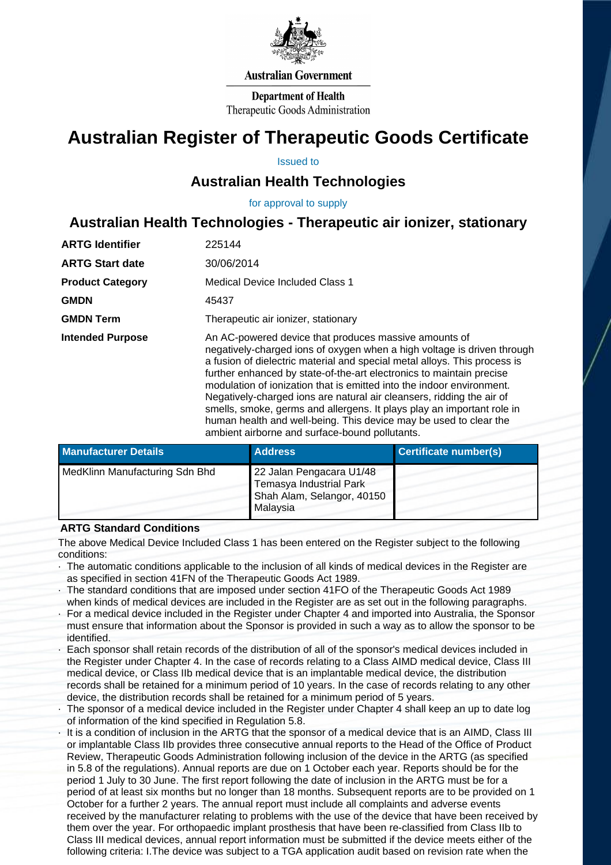

### **Australian Government**

**Department of Health** Therapeutic Goods Administration

# **Australian Register of Therapeutic Goods Certificate**

Issued to

## **Australian Health Technologies**

for approval to supply

# **Australian Health Technologies - Therapeutic air ionizer, stationary**

| <b>ARTG Identifier</b>  | 225144                                                                                                                                                                                                                                                                                                                                                                                                                                                                                                                                                                                                                                   |  |
|-------------------------|------------------------------------------------------------------------------------------------------------------------------------------------------------------------------------------------------------------------------------------------------------------------------------------------------------------------------------------------------------------------------------------------------------------------------------------------------------------------------------------------------------------------------------------------------------------------------------------------------------------------------------------|--|
| <b>ARTG Start date</b>  | 30/06/2014                                                                                                                                                                                                                                                                                                                                                                                                                                                                                                                                                                                                                               |  |
| <b>Product Category</b> | Medical Device Included Class 1                                                                                                                                                                                                                                                                                                                                                                                                                                                                                                                                                                                                          |  |
| <b>GMDN</b>             | 45437                                                                                                                                                                                                                                                                                                                                                                                                                                                                                                                                                                                                                                    |  |
| <b>GMDN Term</b>        | Therapeutic air ionizer, stationary                                                                                                                                                                                                                                                                                                                                                                                                                                                                                                                                                                                                      |  |
| <b>Intended Purpose</b> | An AC-powered device that produces massive amounts of<br>negatively-charged ions of oxygen when a high voltage is driven through<br>a fusion of dielectric material and special metal alloys. This process is<br>further enhanced by state-of-the-art electronics to maintain precise<br>modulation of ionization that is emitted into the indoor environment.<br>Negatively-charged ions are natural air cleansers, ridding the air of<br>smells, smoke, germs and allergens. It plays play an important role in<br>human health and well-being. This device may be used to clear the<br>ambient airborne and surface-bound pollutants. |  |

| <b>Manufacturer Details</b>    | <b>Address</b>                                                                                       | Certificate number(s) |
|--------------------------------|------------------------------------------------------------------------------------------------------|-----------------------|
| MedKlinn Manufacturing Sdn Bhd | 22 Jalan Pengacara U1/48<br><b>Temasya Industrial Park</b><br>Shah Alam, Selangor, 40150<br>Malaysia |                       |

### **ARTG Standard Conditions**

The above Medical Device Included Class 1 has been entered on the Register subject to the following conditions:

- · The automatic conditions applicable to the inclusion of all kinds of medical devices in the Register are as specified in section 41FN of the Therapeutic Goods Act 1989.
- · The standard conditions that are imposed under section 41FO of the Therapeutic Goods Act 1989 when kinds of medical devices are included in the Register are as set out in the following paragraphs.
- · For a medical device included in the Register under Chapter 4 and imported into Australia, the Sponsor must ensure that information about the Sponsor is provided in such a way as to allow the sponsor to be identified.
- Each sponsor shall retain records of the distribution of all of the sponsor's medical devices included in the Register under Chapter 4. In the case of records relating to a Class AIMD medical device, Class III medical device, or Class IIb medical device that is an implantable medical device, the distribution records shall be retained for a minimum period of 10 years. In the case of records relating to any other device, the distribution records shall be retained for a minimum period of 5 years.
- The sponsor of a medical device included in the Register under Chapter 4 shall keep an up to date log of information of the kind specified in Regulation 5.8.
- It is a condition of inclusion in the ARTG that the sponsor of a medical device that is an AIMD, Class III or implantable Class IIb provides three consecutive annual reports to the Head of the Office of Product Review, Therapeutic Goods Administration following inclusion of the device in the ARTG (as specified in 5.8 of the regulations). Annual reports are due on 1 October each year. Reports should be for the period 1 July to 30 June. The first report following the date of inclusion in the ARTG must be for a period of at least six months but no longer than 18 months. Subsequent reports are to be provided on 1 October for a further 2 years. The annual report must include all complaints and adverse events received by the manufacturer relating to problems with the use of the device that have been received by them over the year. For orthopaedic implant prosthesis that have been re-classified from Class IIb to Class III medical devices, annual report information must be submitted if the device meets either of the following criteria: I.The device was subject to a TGA application audit based on revision rate when the